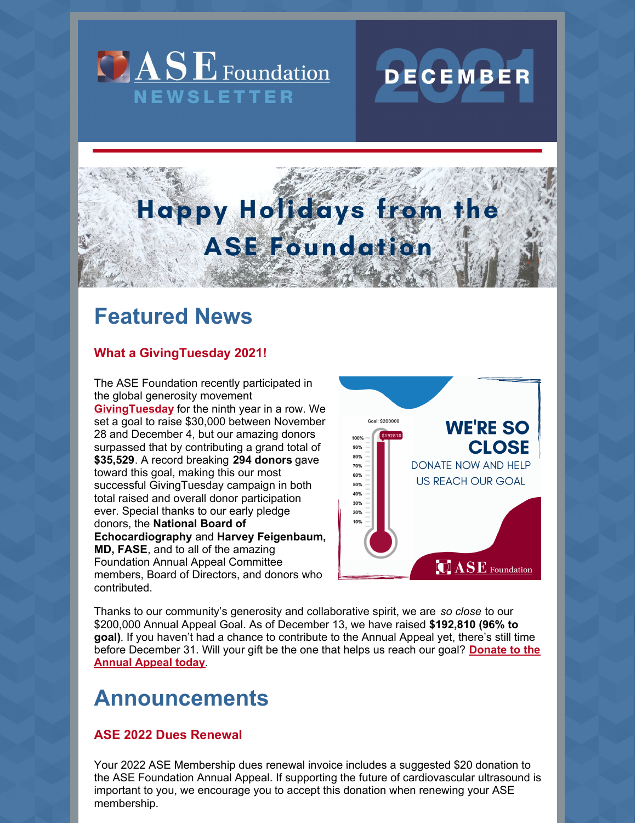



# Happy Holidays from the **ASE Foundation**

## **Featured News**

## **What a GivingTuesday 2021!**

The ASE Foundation recently participated in the global generosity movement **[GivingTuesday](https://www.givingtuesday.org/)** for the ninth year in a row. We set a goal to raise \$30,000 between November 28 and December 4, but our amazing donors surpassed that by contributing a grand total of **\$35,529**. A record breaking **294 donors** gave toward this goal, making this our most successful GivingTuesday campaign in both total raised and overall donor participation ever. Special thanks to our early pledge donors, the **National Board of Echocardiography** and **Harvey Feigenbaum, MD, FASE**, and to all of the amazing Foundation Annual Appeal Committee members, Board of Directors, and donors who contributed.



Thanks to our community's generosity and collaborative spirit, we are *so close* to our \$200,000 Annual Appeal Goal. As of December 13, we have raised **\$192,810 (96% to goal)**. If you haven't had a chance to contribute to the Annual Appeal yet, there's still time before [December](https://asecho-prod.force.com/OrderApi__campaign?id=a2W4A000005a6jtUAA&site=a2H4A000002dA1fUAE&sourceCode=a344A000000En0iQAC) 31. Will your gift be the one that helps us reach our goal? **Donate to the Annual Appeal today**.

## **Announcements**

## **ASE 2022 Dues Renewal**

Your 2022 ASE Membership dues renewal invoice includes a suggested \$20 donation to the ASE Foundation Annual Appeal. If supporting the future of cardiovascular ultrasound is important to you, we encourage you to accept this donation when renewing your ASE membership.